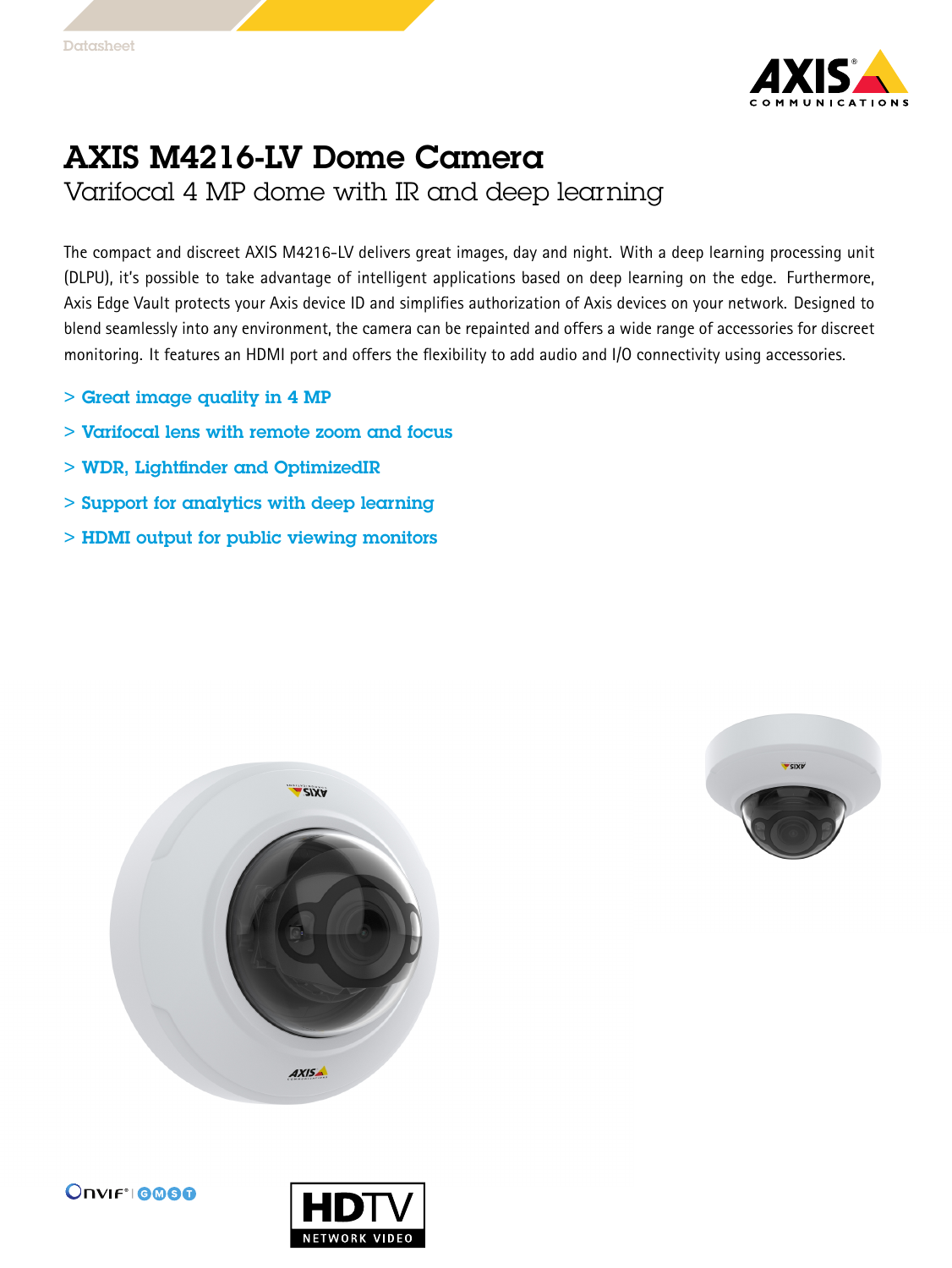

## AXIS M4216-LV Dome Camera

Varifocal 4 MP dome with IR and deep learning

The compact and discreet AXIS M4216-LV delivers great images, day and night. With <sup>a</sup> deep learning processing unit (DLPU), it's possible to take advantage of intelligent applications based on deep learning on the edge. Furthermore, Axis Edge Vault protects your Axis device ID and simplifies authorization of Axis devices on your network. Designed to blend seamlessly into any environment, the camera can be repainted and offers <sup>a</sup> wide range of accessories for discreet monitoring. It features an HDMI port and offers the flexibility to add audio and I/O connectivity using accessories.

- > Great image quality in 4 MP
- > Varifocal lens with remote zoom and focus
- > WDR, Lightfinder and OptimizedIR
- > Support for analytics with deep learning
- > HDMI output for public viewing monitors







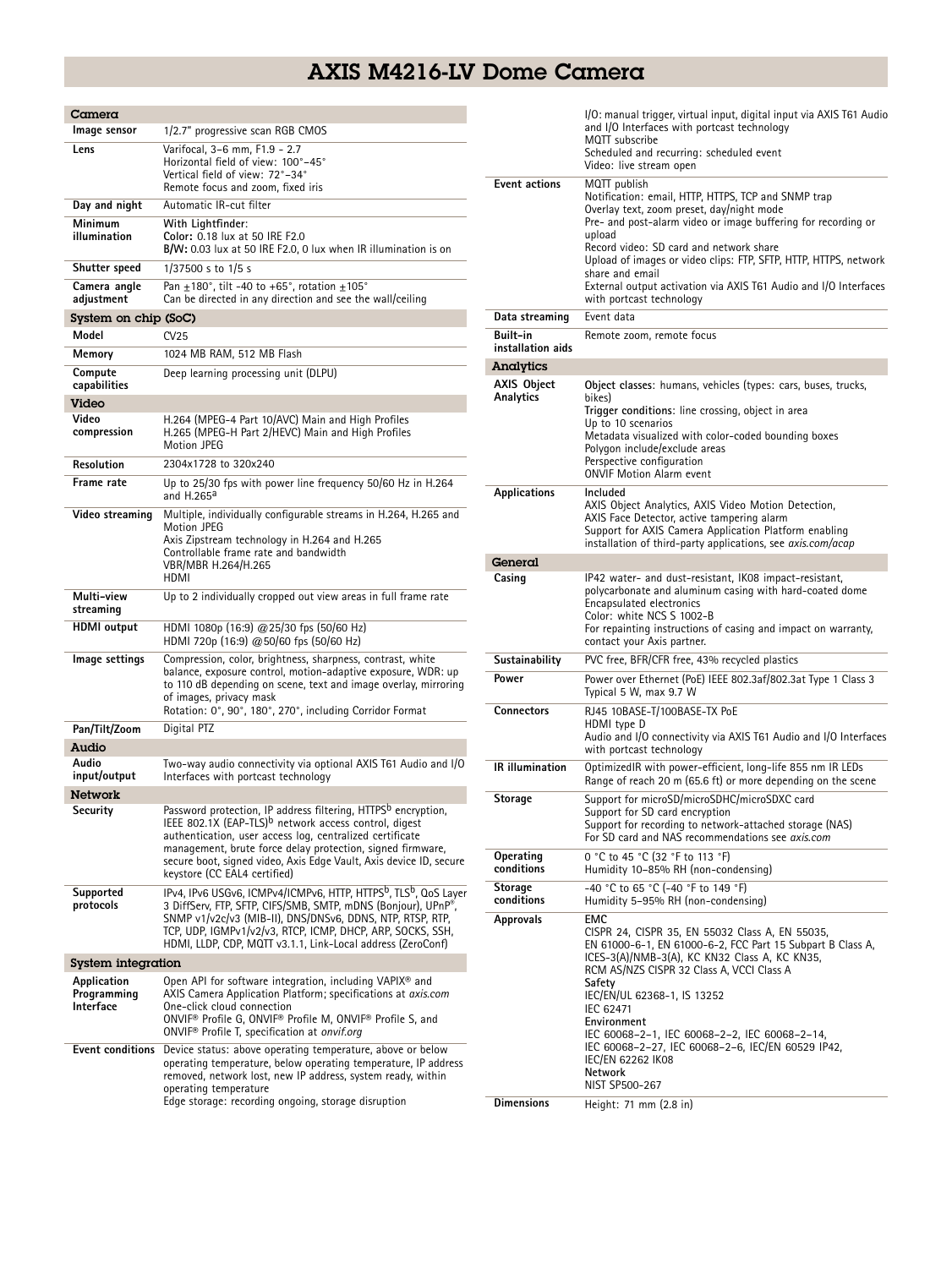## AXIS M4216-LV Dome Camera

| Camera                                  |                                                                                                                                                                                                                                                                                                                                                                                |
|-----------------------------------------|--------------------------------------------------------------------------------------------------------------------------------------------------------------------------------------------------------------------------------------------------------------------------------------------------------------------------------------------------------------------------------|
| lmage sensor                            | 1/2.7" progressive scan RGB CMOS                                                                                                                                                                                                                                                                                                                                               |
| Lens                                    | Varifocal, 3-6 mm, F1.9 - 2.7<br>Horizontal field of view: 100°-45°<br>Vertical field of view: 72°-34°<br>Remote focus and zoom, fixed iris                                                                                                                                                                                                                                    |
| Day and night                           | Automatic IR-cut filter                                                                                                                                                                                                                                                                                                                                                        |
| Minimum<br>illumination                 | With Lightfinder:<br>Color: 0.18 lux at 50 IRE F2.0<br>B/W: 0.03 lux at 50 IRE F2.0, 0 lux when IR illumination is on                                                                                                                                                                                                                                                          |
| Shutter speed                           | 1/37500 s to 1/5 s                                                                                                                                                                                                                                                                                                                                                             |
| Camera angle<br>adjustment              | Pan $\pm$ 180°, tilt -40 to +65°, rotation $\pm$ 105°<br>Can be directed in any direction and see the wall/ceiling                                                                                                                                                                                                                                                             |
| System on chip (SoC)                    |                                                                                                                                                                                                                                                                                                                                                                                |
| Model                                   | CV25                                                                                                                                                                                                                                                                                                                                                                           |
| Memory                                  | 1024 MB RAM, 512 MB Flash                                                                                                                                                                                                                                                                                                                                                      |
| Compute<br>capabilities                 | Deep learning processing unit (DLPU)                                                                                                                                                                                                                                                                                                                                           |
| Video<br>Video                          | H.264 (MPEG-4 Part 10/AVC) Main and High Profiles                                                                                                                                                                                                                                                                                                                              |
| compression                             | H.265 (MPEG-H Part 2/HEVC) Main and High Profiles<br><b>Motion JPEG</b>                                                                                                                                                                                                                                                                                                        |
| Resolution                              | 2304x1728 to 320x240                                                                                                                                                                                                                                                                                                                                                           |
| Frame rate                              | Up to 25/30 fps with power line frequency 50/60 Hz in H.264<br>and H.265ª                                                                                                                                                                                                                                                                                                      |
| Video streaming                         | Multiple, individually configurable streams in H.264, H.265 and<br><b>Motion JPEG</b><br>Axis Zipstream technology in H.264 and H.265<br>Controllable frame rate and bandwidth<br>VBR/MBR H.264/H.265<br>HDMI                                                                                                                                                                  |
| Multi-view<br>streaminq                 | Up to 2 individually cropped out view areas in full frame rate                                                                                                                                                                                                                                                                                                                 |
| <b>HDMI</b> output                      | HDMI 1080p (16:9) @25/30 fps (50/60 Hz)<br>HDMI 720p (16:9) @ 50/60 fps (50/60 Hz)                                                                                                                                                                                                                                                                                             |
| lmage settings                          | Compression, color, brightness, sharpness, contrast, white<br>balance, exposure control, motion-adaptive exposure, WDR: up<br>to 110 dB depending on scene, text and image overlay, mirroring<br>of images, privacy mask<br>Rotation: 0°, 90°, 180°, 270°, including Corridor Format                                                                                           |
| Pan/Tilt/Zoom                           | Digital PTZ                                                                                                                                                                                                                                                                                                                                                                    |
| Audio                                   |                                                                                                                                                                                                                                                                                                                                                                                |
| Audio<br>input/output                   | Two-way audio connectivity via optional AXIS T61 Audio and I/O<br>Interfaces with portcast technology                                                                                                                                                                                                                                                                          |
| Network                                 |                                                                                                                                                                                                                                                                                                                                                                                |
| Security                                | Password protection, IP address filtering, HTTPS <sup>b</sup> encryption,<br>IEEE 802.1X (EAP-TLS) <sup>b</sup> network access control, digest<br>authentication, user access log, centralized certificate<br>management, brute force delay protection, signed firmware,<br>secure boot, signed video, Axis Edge Vault, Axis device ID, secure<br>keystore (CC EAL4 certified) |
| Supported<br>protocols                  | IPv4, IPv6 USGv6, ICMPv4/ICMPv6, HTTP, HTTPS <sup>b</sup> , TLS <sup>b</sup> , QoS Layer<br>3 DiffServ, FTP, SFTP, CIFS/SMB, SMTP, mDNS (Bonjour), UPnP®,<br>SNMP v1/v2c/v3 (MIB-II), DNS/DNSv6, DDNS, NTP, RTSP, RTP,<br>TCP, UDP, IGMPv1/v2/v3, RTCP, ICMP, DHCP, ARP, SOCKS, SSH,<br>HDMI, LLDP, CDP, MQTT v3.1.1, Link-Local address (ZeroConf)                            |
| System integration                      |                                                                                                                                                                                                                                                                                                                                                                                |
| Application<br>Programming<br>Interface | Open API for software integration, including VAPIX <sup>®</sup> and<br>AXIS Camera Application Platform; specifications at axis.com<br>One-click cloud connection<br>ONVIF <sup>®</sup> Profile G, ONVIF® Profile M, ONVIF® Profile S, and<br>ONVIF <sup>®</sup> Profile T, specification at onvif.org                                                                         |
| Event conditions                        | Device status: above operating temperature, above or below<br>operating temperature, below operating temperature, IP address<br>removed, network lost, new IP address, system ready, within<br>operating temperature<br>Edge storage: recording ongoing, storage disruption                                                                                                    |

| Video: live stream open<br><b>Event actions</b><br>MQTT publish<br>Notification: email, HTTP, HTTPS, TCP and SNMP trap<br>Overlay text, zoom preset, day/night mode<br>Pre- and post-alarm video or image buffering for recording or<br>upload<br>Record video: SD card and network share<br>Upload of images or video clips: FTP, SFTP, HTTP, HTTPS, network<br>share and email<br>External output activation via AXIS T61 Audio and I/O Interfaces<br>with portcast technology<br>Event data<br>Data streaming<br>Built-in<br>Remote zoom, remote focus<br>installation aids<br>Analytics<br><b>AXIS Object</b><br>Object classes: humans, vehicles (types: cars, buses, trucks,<br>Analytics<br>bikes)<br>Trigger conditions: line crossing, object in area<br>Up to 10 scenarios<br>Metadata visualized with color-coded bounding boxes<br>Polygon include/exclude areas<br>Perspective configuration<br><b>ONVIF Motion Alarm event</b><br>Applications<br>Included<br>AXIS Object Analytics, AXIS Video Motion Detection,<br>AXIS Face Detector, active tampering alarm<br>Support for AXIS Camera Application Platform enabling<br>installation of third-party applications, see axis.com/acap<br>General<br>IP42 water- and dust-resistant, IK08 impact-resistant,<br>Casing<br>polycarbonate and aluminum casing with hard-coated dome<br>Encapsulated electronics<br>Color: white NCS S 1002-B<br>For repainting instructions of casing and impact on warranty,<br>contact your Axis partner.<br>Sustainability<br>PVC free, BFR/CFR free, 43% recycled plastics<br>Power<br>Power over Ethernet (PoE) IEEE 802.3af/802.3at Type 1 Class 3<br>Typical 5 W, max 9.7 W<br><b>Connectors</b><br>RJ45 10BASE-T/100BASE-TX PoE<br>HDMI type D<br>Audio and I/O connectivity via AXIS T61 Audio and I/O Interfaces<br>with portcast technology<br><b>IR</b> illumination<br>OptimizedIR with power-efficient, long-life 855 nm IR LEDs<br>Range of reach 20 m (65.6 ft) or more depending on the scene<br>Support for microSD/microSDHC/microSDXC card<br><b>Storage</b><br>Support for SD card encryption<br>Support for recording to network-attached storage (NAS)<br>For SD card and NAS recommendations see axis.com<br>0 °C to 45 °C (32 °F to 113 °F)<br>Operating<br>conditions<br>Humidity 10-85% RH (non-condensing)<br>-40 °C to 65 °C (-40 °F to 149 °F)<br>Storage<br>conditions<br>Humidity 5-95% RH (non-condensing)<br><b>EMC</b><br>Approvals<br>CISPR 24, CISPR 35, EN 55032 Class A, EN 55035,<br>EN 61000-6-1, EN 61000-6-2, FCC Part 15 Subpart B Class A,<br>ICES-3(A)/NMB-3(A), KC KN32 Class A, KC KN35,<br>RCM AS/NZS CISPR 32 Class A, VCCI Class A<br>Safety<br>IEC/EN/UL 62368-1, IS 13252<br>IEC 62471<br>Environment<br>IEC 60068-2-1, IEC 60068-2-2, IEC 60068-2-14,<br>IEC 60068-2-27, IEC 60068-2-6, IEC/EN 60529 IP42,<br>IEC/EN 62262 IK08<br>Network<br>NIST SP500-267<br><b>Dimensions</b><br>Height: 71 mm (2.8 in) | I/O: manual trigger, virtual input, digital input via AXIS T61 Audio<br>and I/O Interfaces with portcast technology<br>MQTT subscribe<br>Scheduled and recurring: scheduled event |
|---------------------------------------------------------------------------------------------------------------------------------------------------------------------------------------------------------------------------------------------------------------------------------------------------------------------------------------------------------------------------------------------------------------------------------------------------------------------------------------------------------------------------------------------------------------------------------------------------------------------------------------------------------------------------------------------------------------------------------------------------------------------------------------------------------------------------------------------------------------------------------------------------------------------------------------------------------------------------------------------------------------------------------------------------------------------------------------------------------------------------------------------------------------------------------------------------------------------------------------------------------------------------------------------------------------------------------------------------------------------------------------------------------------------------------------------------------------------------------------------------------------------------------------------------------------------------------------------------------------------------------------------------------------------------------------------------------------------------------------------------------------------------------------------------------------------------------------------------------------------------------------------------------------------------------------------------------------------------------------------------------------------------------------------------------------------------------------------------------------------------------------------------------------------------------------------------------------------------------------------------------------------------------------------------------------------------------------------------------------------------------------------------------------------------------------------------------------------------------------------------------------------------------------------------------------------------------------------------------------------------------------------------------------------------------------------------------------------------------------------------------------------------------------------------------------------------------------------------------------------------------------------------------------------------------------------------------------|-----------------------------------------------------------------------------------------------------------------------------------------------------------------------------------|
|                                                                                                                                                                                                                                                                                                                                                                                                                                                                                                                                                                                                                                                                                                                                                                                                                                                                                                                                                                                                                                                                                                                                                                                                                                                                                                                                                                                                                                                                                                                                                                                                                                                                                                                                                                                                                                                                                                                                                                                                                                                                                                                                                                                                                                                                                                                                                                                                                                                                                                                                                                                                                                                                                                                                                                                                                                                                                                                                                               |                                                                                                                                                                                   |
|                                                                                                                                                                                                                                                                                                                                                                                                                                                                                                                                                                                                                                                                                                                                                                                                                                                                                                                                                                                                                                                                                                                                                                                                                                                                                                                                                                                                                                                                                                                                                                                                                                                                                                                                                                                                                                                                                                                                                                                                                                                                                                                                                                                                                                                                                                                                                                                                                                                                                                                                                                                                                                                                                                                                                                                                                                                                                                                                                               |                                                                                                                                                                                   |
|                                                                                                                                                                                                                                                                                                                                                                                                                                                                                                                                                                                                                                                                                                                                                                                                                                                                                                                                                                                                                                                                                                                                                                                                                                                                                                                                                                                                                                                                                                                                                                                                                                                                                                                                                                                                                                                                                                                                                                                                                                                                                                                                                                                                                                                                                                                                                                                                                                                                                                                                                                                                                                                                                                                                                                                                                                                                                                                                                               |                                                                                                                                                                                   |
|                                                                                                                                                                                                                                                                                                                                                                                                                                                                                                                                                                                                                                                                                                                                                                                                                                                                                                                                                                                                                                                                                                                                                                                                                                                                                                                                                                                                                                                                                                                                                                                                                                                                                                                                                                                                                                                                                                                                                                                                                                                                                                                                                                                                                                                                                                                                                                                                                                                                                                                                                                                                                                                                                                                                                                                                                                                                                                                                                               |                                                                                                                                                                                   |
|                                                                                                                                                                                                                                                                                                                                                                                                                                                                                                                                                                                                                                                                                                                                                                                                                                                                                                                                                                                                                                                                                                                                                                                                                                                                                                                                                                                                                                                                                                                                                                                                                                                                                                                                                                                                                                                                                                                                                                                                                                                                                                                                                                                                                                                                                                                                                                                                                                                                                                                                                                                                                                                                                                                                                                                                                                                                                                                                                               |                                                                                                                                                                                   |
|                                                                                                                                                                                                                                                                                                                                                                                                                                                                                                                                                                                                                                                                                                                                                                                                                                                                                                                                                                                                                                                                                                                                                                                                                                                                                                                                                                                                                                                                                                                                                                                                                                                                                                                                                                                                                                                                                                                                                                                                                                                                                                                                                                                                                                                                                                                                                                                                                                                                                                                                                                                                                                                                                                                                                                                                                                                                                                                                                               |                                                                                                                                                                                   |
|                                                                                                                                                                                                                                                                                                                                                                                                                                                                                                                                                                                                                                                                                                                                                                                                                                                                                                                                                                                                                                                                                                                                                                                                                                                                                                                                                                                                                                                                                                                                                                                                                                                                                                                                                                                                                                                                                                                                                                                                                                                                                                                                                                                                                                                                                                                                                                                                                                                                                                                                                                                                                                                                                                                                                                                                                                                                                                                                                               |                                                                                                                                                                                   |
|                                                                                                                                                                                                                                                                                                                                                                                                                                                                                                                                                                                                                                                                                                                                                                                                                                                                                                                                                                                                                                                                                                                                                                                                                                                                                                                                                                                                                                                                                                                                                                                                                                                                                                                                                                                                                                                                                                                                                                                                                                                                                                                                                                                                                                                                                                                                                                                                                                                                                                                                                                                                                                                                                                                                                                                                                                                                                                                                                               |                                                                                                                                                                                   |
|                                                                                                                                                                                                                                                                                                                                                                                                                                                                                                                                                                                                                                                                                                                                                                                                                                                                                                                                                                                                                                                                                                                                                                                                                                                                                                                                                                                                                                                                                                                                                                                                                                                                                                                                                                                                                                                                                                                                                                                                                                                                                                                                                                                                                                                                                                                                                                                                                                                                                                                                                                                                                                                                                                                                                                                                                                                                                                                                                               |                                                                                                                                                                                   |
|                                                                                                                                                                                                                                                                                                                                                                                                                                                                                                                                                                                                                                                                                                                                                                                                                                                                                                                                                                                                                                                                                                                                                                                                                                                                                                                                                                                                                                                                                                                                                                                                                                                                                                                                                                                                                                                                                                                                                                                                                                                                                                                                                                                                                                                                                                                                                                                                                                                                                                                                                                                                                                                                                                                                                                                                                                                                                                                                                               |                                                                                                                                                                                   |
|                                                                                                                                                                                                                                                                                                                                                                                                                                                                                                                                                                                                                                                                                                                                                                                                                                                                                                                                                                                                                                                                                                                                                                                                                                                                                                                                                                                                                                                                                                                                                                                                                                                                                                                                                                                                                                                                                                                                                                                                                                                                                                                                                                                                                                                                                                                                                                                                                                                                                                                                                                                                                                                                                                                                                                                                                                                                                                                                                               |                                                                                                                                                                                   |
|                                                                                                                                                                                                                                                                                                                                                                                                                                                                                                                                                                                                                                                                                                                                                                                                                                                                                                                                                                                                                                                                                                                                                                                                                                                                                                                                                                                                                                                                                                                                                                                                                                                                                                                                                                                                                                                                                                                                                                                                                                                                                                                                                                                                                                                                                                                                                                                                                                                                                                                                                                                                                                                                                                                                                                                                                                                                                                                                                               |                                                                                                                                                                                   |
|                                                                                                                                                                                                                                                                                                                                                                                                                                                                                                                                                                                                                                                                                                                                                                                                                                                                                                                                                                                                                                                                                                                                                                                                                                                                                                                                                                                                                                                                                                                                                                                                                                                                                                                                                                                                                                                                                                                                                                                                                                                                                                                                                                                                                                                                                                                                                                                                                                                                                                                                                                                                                                                                                                                                                                                                                                                                                                                                                               |                                                                                                                                                                                   |
|                                                                                                                                                                                                                                                                                                                                                                                                                                                                                                                                                                                                                                                                                                                                                                                                                                                                                                                                                                                                                                                                                                                                                                                                                                                                                                                                                                                                                                                                                                                                                                                                                                                                                                                                                                                                                                                                                                                                                                                                                                                                                                                                                                                                                                                                                                                                                                                                                                                                                                                                                                                                                                                                                                                                                                                                                                                                                                                                                               |                                                                                                                                                                                   |
|                                                                                                                                                                                                                                                                                                                                                                                                                                                                                                                                                                                                                                                                                                                                                                                                                                                                                                                                                                                                                                                                                                                                                                                                                                                                                                                                                                                                                                                                                                                                                                                                                                                                                                                                                                                                                                                                                                                                                                                                                                                                                                                                                                                                                                                                                                                                                                                                                                                                                                                                                                                                                                                                                                                                                                                                                                                                                                                                                               |                                                                                                                                                                                   |
|                                                                                                                                                                                                                                                                                                                                                                                                                                                                                                                                                                                                                                                                                                                                                                                                                                                                                                                                                                                                                                                                                                                                                                                                                                                                                                                                                                                                                                                                                                                                                                                                                                                                                                                                                                                                                                                                                                                                                                                                                                                                                                                                                                                                                                                                                                                                                                                                                                                                                                                                                                                                                                                                                                                                                                                                                                                                                                                                                               |                                                                                                                                                                                   |
|                                                                                                                                                                                                                                                                                                                                                                                                                                                                                                                                                                                                                                                                                                                                                                                                                                                                                                                                                                                                                                                                                                                                                                                                                                                                                                                                                                                                                                                                                                                                                                                                                                                                                                                                                                                                                                                                                                                                                                                                                                                                                                                                                                                                                                                                                                                                                                                                                                                                                                                                                                                                                                                                                                                                                                                                                                                                                                                                                               |                                                                                                                                                                                   |
|                                                                                                                                                                                                                                                                                                                                                                                                                                                                                                                                                                                                                                                                                                                                                                                                                                                                                                                                                                                                                                                                                                                                                                                                                                                                                                                                                                                                                                                                                                                                                                                                                                                                                                                                                                                                                                                                                                                                                                                                                                                                                                                                                                                                                                                                                                                                                                                                                                                                                                                                                                                                                                                                                                                                                                                                                                                                                                                                                               |                                                                                                                                                                                   |